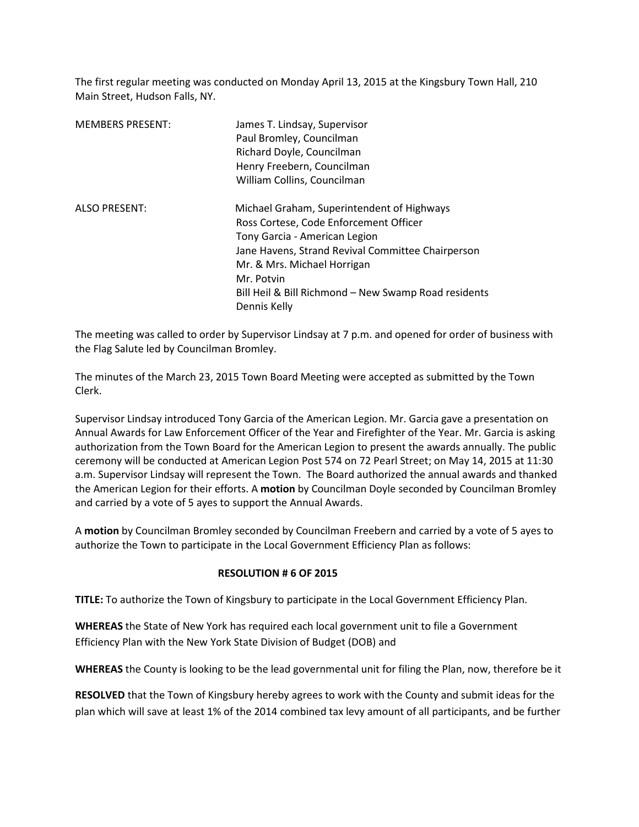The first regular meeting was conducted on Monday April 13, 2015 at the Kingsbury Town Hall, 210 Main Street, Hudson Falls, NY.

| <b>MEMBERS PRESENT:</b> | James T. Lindsay, Supervisor<br>Paul Bromley, Councilman<br>Richard Doyle, Councilman<br>Henry Freebern, Councilman<br>William Collins, Councilman                                                                                                                                              |
|-------------------------|-------------------------------------------------------------------------------------------------------------------------------------------------------------------------------------------------------------------------------------------------------------------------------------------------|
| <b>ALSO PRESENT:</b>    | Michael Graham, Superintendent of Highways<br>Ross Cortese, Code Enforcement Officer<br>Tony Garcia - American Legion<br>Jane Havens, Strand Revival Committee Chairperson<br>Mr. & Mrs. Michael Horrigan<br>Mr. Potvin<br>Bill Heil & Bill Richmond - New Swamp Road residents<br>Dennis Kelly |

The meeting was called to order by Supervisor Lindsay at 7 p.m. and opened for order of business with the Flag Salute led by Councilman Bromley.

The minutes of the March 23, 2015 Town Board Meeting were accepted as submitted by the Town Clerk.

Supervisor Lindsay introduced Tony Garcia of the American Legion. Mr. Garcia gave a presentation on Annual Awards for Law Enforcement Officer of the Year and Firefighter of the Year. Mr. Garcia is asking authorization from the Town Board for the American Legion to present the awards annually. The public ceremony will be conducted at American Legion Post 574 on 72 Pearl Street; on May 14, 2015 at 11:30 a.m. Supervisor Lindsay will represent the Town. The Board authorized the annual awards and thanked the American Legion for their efforts. A **motion** by Councilman Doyle seconded by Councilman Bromley and carried by a vote of 5 ayes to support the Annual Awards.

A **motion** by Councilman Bromley seconded by Councilman Freebern and carried by a vote of 5 ayes to authorize the Town to participate in the Local Government Efficiency Plan as follows:

## **RESOLUTION # 6 OF 2015**

**TITLE:** To authorize the Town of Kingsbury to participate in the Local Government Efficiency Plan.

**WHEREAS** the State of New York has required each local government unit to file a Government Efficiency Plan with the New York State Division of Budget (DOB) and

**WHEREAS** the County is looking to be the lead governmental unit for filing the Plan, now, therefore be it

**RESOLVED** that the Town of Kingsbury hereby agrees to work with the County and submit ideas for the plan which will save at least 1% of the 2014 combined tax levy amount of all participants, and be further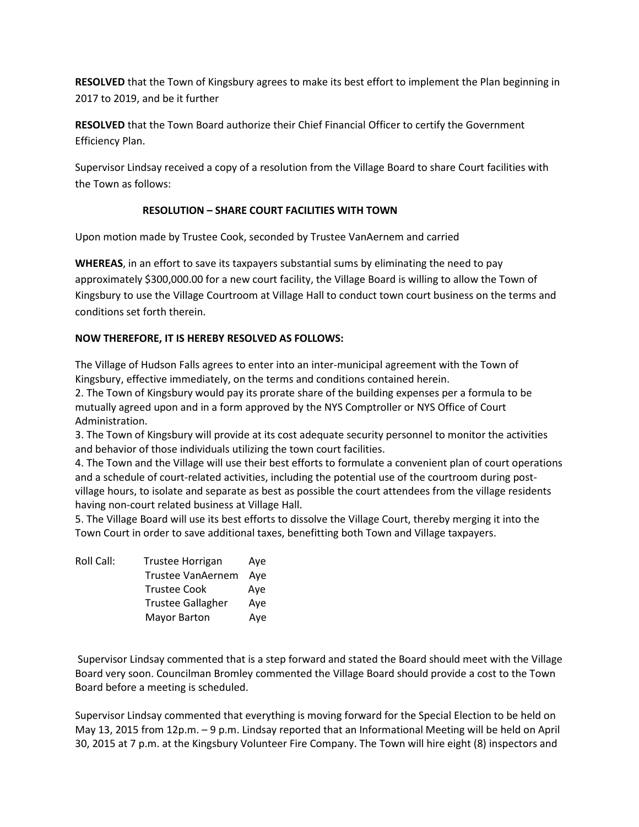**RESOLVED** that the Town of Kingsbury agrees to make its best effort to implement the Plan beginning in 2017 to 2019, and be it further

**RESOLVED** that the Town Board authorize their Chief Financial Officer to certify the Government Efficiency Plan.

Supervisor Lindsay received a copy of a resolution from the Village Board to share Court facilities with the Town as follows:

## **RESOLUTION – SHARE COURT FACILITIES WITH TOWN**

Upon motion made by Trustee Cook, seconded by Trustee VanAernem and carried

**WHEREAS**, in an effort to save its taxpayers substantial sums by eliminating the need to pay approximately \$300,000.00 for a new court facility, the Village Board is willing to allow the Town of Kingsbury to use the Village Courtroom at Village Hall to conduct town court business on the terms and conditions set forth therein.

## **NOW THEREFORE, IT IS HEREBY RESOLVED AS FOLLOWS:**

The Village of Hudson Falls agrees to enter into an inter-municipal agreement with the Town of Kingsbury, effective immediately, on the terms and conditions contained herein.

2. The Town of Kingsbury would pay its prorate share of the building expenses per a formula to be mutually agreed upon and in a form approved by the NYS Comptroller or NYS Office of Court Administration.

3. The Town of Kingsbury will provide at its cost adequate security personnel to monitor the activities and behavior of those individuals utilizing the town court facilities.

4. The Town and the Village will use their best efforts to formulate a convenient plan of court operations and a schedule of court-related activities, including the potential use of the courtroom during postvillage hours, to isolate and separate as best as possible the court attendees from the village residents having non-court related business at Village Hall.

5. The Village Board will use its best efforts to dissolve the Village Court, thereby merging it into the Town Court in order to save additional taxes, benefitting both Town and Village taxpayers.

| <b>Trustee Horrigan</b>  | Aye |
|--------------------------|-----|
| Trustee VanAernem        | Ave |
| <b>Trustee Cook</b>      | Ave |
| <b>Trustee Gallagher</b> | Aye |
| <b>Mayor Barton</b>      | Aye |
|                          |     |

 Supervisor Lindsay commented that is a step forward and stated the Board should meet with the Village Board very soon. Councilman Bromley commented the Village Board should provide a cost to the Town Board before a meeting is scheduled.

Supervisor Lindsay commented that everything is moving forward for the Special Election to be held on May 13, 2015 from 12p.m. – 9 p.m. Lindsay reported that an Informational Meeting will be held on April 30, 2015 at 7 p.m. at the Kingsbury Volunteer Fire Company. The Town will hire eight (8) inspectors and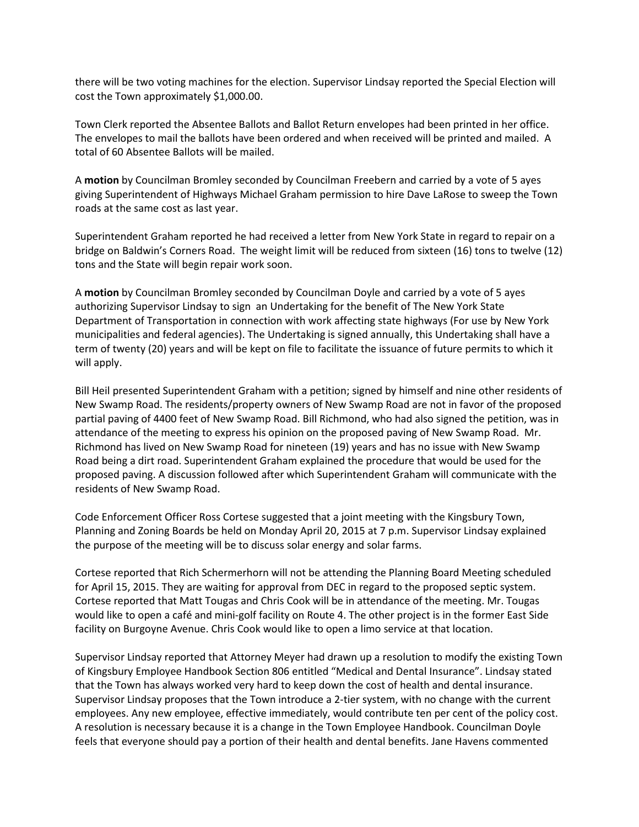there will be two voting machines for the election. Supervisor Lindsay reported the Special Election will cost the Town approximately \$1,000.00.

Town Clerk reported the Absentee Ballots and Ballot Return envelopes had been printed in her office. The envelopes to mail the ballots have been ordered and when received will be printed and mailed. A total of 60 Absentee Ballots will be mailed.

A **motion** by Councilman Bromley seconded by Councilman Freebern and carried by a vote of 5 ayes giving Superintendent of Highways Michael Graham permission to hire Dave LaRose to sweep the Town roads at the same cost as last year.

Superintendent Graham reported he had received a letter from New York State in regard to repair on a bridge on Baldwin's Corners Road. The weight limit will be reduced from sixteen (16) tons to twelve (12) tons and the State will begin repair work soon.

A **motion** by Councilman Bromley seconded by Councilman Doyle and carried by a vote of 5 ayes authorizing Supervisor Lindsay to sign an Undertaking for the benefit of The New York State Department of Transportation in connection with work affecting state highways (For use by New York municipalities and federal agencies). The Undertaking is signed annually, this Undertaking shall have a term of twenty (20) years and will be kept on file to facilitate the issuance of future permits to which it will apply.

Bill Heil presented Superintendent Graham with a petition; signed by himself and nine other residents of New Swamp Road. The residents/property owners of New Swamp Road are not in favor of the proposed partial paving of 4400 feet of New Swamp Road. Bill Richmond, who had also signed the petition, was in attendance of the meeting to express his opinion on the proposed paving of New Swamp Road. Mr. Richmond has lived on New Swamp Road for nineteen (19) years and has no issue with New Swamp Road being a dirt road. Superintendent Graham explained the procedure that would be used for the proposed paving. A discussion followed after which Superintendent Graham will communicate with the residents of New Swamp Road.

Code Enforcement Officer Ross Cortese suggested that a joint meeting with the Kingsbury Town, Planning and Zoning Boards be held on Monday April 20, 2015 at 7 p.m. Supervisor Lindsay explained the purpose of the meeting will be to discuss solar energy and solar farms.

Cortese reported that Rich Schermerhorn will not be attending the Planning Board Meeting scheduled for April 15, 2015. They are waiting for approval from DEC in regard to the proposed septic system. Cortese reported that Matt Tougas and Chris Cook will be in attendance of the meeting. Mr. Tougas would like to open a café and mini-golf facility on Route 4. The other project is in the former East Side facility on Burgoyne Avenue. Chris Cook would like to open a limo service at that location.

Supervisor Lindsay reported that Attorney Meyer had drawn up a resolution to modify the existing Town of Kingsbury Employee Handbook Section 806 entitled "Medical and Dental Insurance". Lindsay stated that the Town has always worked very hard to keep down the cost of health and dental insurance. Supervisor Lindsay proposes that the Town introduce a 2-tier system, with no change with the current employees. Any new employee, effective immediately, would contribute ten per cent of the policy cost. A resolution is necessary because it is a change in the Town Employee Handbook. Councilman Doyle feels that everyone should pay a portion of their health and dental benefits. Jane Havens commented